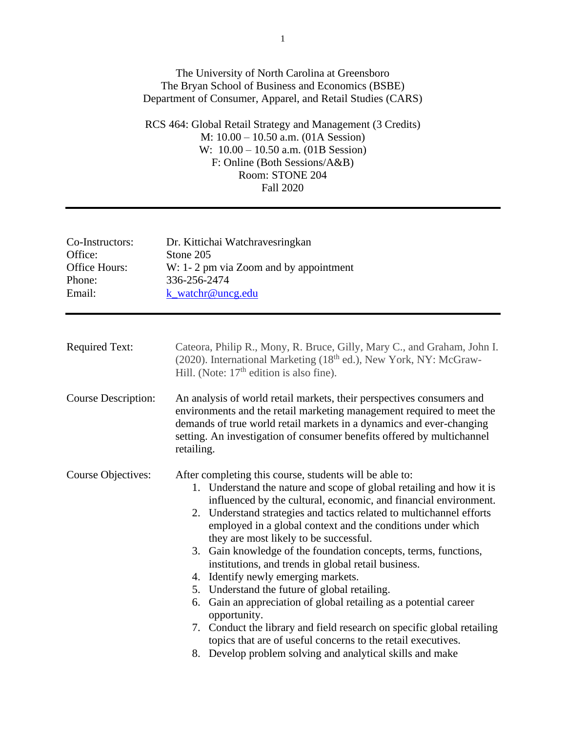## The University of North Carolina at Greensboro The Bryan School of Business and Economics (BSBE) Department of Consumer, Apparel, and Retail Studies (CARS)

RCS 464: Global Retail Strategy and Management (3 Credits) M: 10.00 – 10.50 a.m. (01A Session) W: 10.00 – 10.50 a.m. (01B Session) F: Online (Both Sessions/A&B) Room: STONE 204 Fall 2020

| Co-Instructors:<br>Office:<br>Office Hours:<br>Phone:<br>Email: | Dr. Kittichai Watchravesringkan<br>Stone 205<br>W: 1-2 pm via Zoom and by appointment<br>336-256-2474<br>k_watchr@uncg.edu                                                                                                                                                                                                                                                                                                                                                                                                                                                                                                                                                                                                                                                                                                                                                                         |  |
|-----------------------------------------------------------------|----------------------------------------------------------------------------------------------------------------------------------------------------------------------------------------------------------------------------------------------------------------------------------------------------------------------------------------------------------------------------------------------------------------------------------------------------------------------------------------------------------------------------------------------------------------------------------------------------------------------------------------------------------------------------------------------------------------------------------------------------------------------------------------------------------------------------------------------------------------------------------------------------|--|
| <b>Required Text:</b>                                           | Cateora, Philip R., Mony, R. Bruce, Gilly, Mary C., and Graham, John I.<br>(2020). International Marketing (18 <sup>th</sup> ed.), New York, NY: McGraw-<br>Hill. (Note: $17th$ edition is also fine).                                                                                                                                                                                                                                                                                                                                                                                                                                                                                                                                                                                                                                                                                             |  |
| <b>Course Description:</b>                                      | An analysis of world retail markets, their perspectives consumers and<br>environments and the retail marketing management required to meet the<br>demands of true world retail markets in a dynamics and ever-changing<br>setting. An investigation of consumer benefits offered by multichannel<br>retailing.                                                                                                                                                                                                                                                                                                                                                                                                                                                                                                                                                                                     |  |
| Course Objectives:                                              | After completing this course, students will be able to:<br>1. Understand the nature and scope of global retailing and how it is<br>influenced by the cultural, economic, and financial environment.<br>2. Understand strategies and tactics related to multichannel efforts<br>employed in a global context and the conditions under which<br>they are most likely to be successful.<br>3. Gain knowledge of the foundation concepts, terms, functions,<br>institutions, and trends in global retail business.<br>4. Identify newly emerging markets.<br>5. Understand the future of global retailing.<br>6. Gain an appreciation of global retailing as a potential career<br>opportunity.<br>7. Conduct the library and field research on specific global retailing<br>topics that are of useful concerns to the retail executives.<br>8. Develop problem solving and analytical skills and make |  |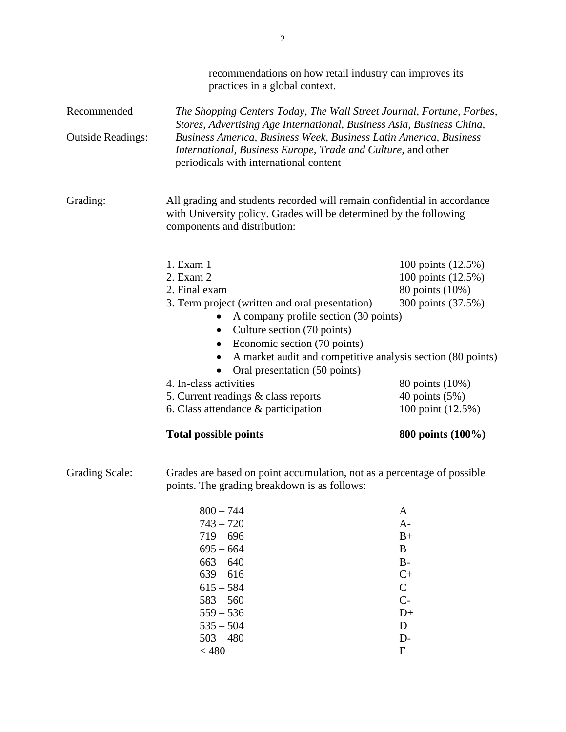|                          | recommendations on how retail industry can improves its<br>practices in a global context.                                                                                      |                    |  |
|--------------------------|--------------------------------------------------------------------------------------------------------------------------------------------------------------------------------|--------------------|--|
| Recommended              | The Shopping Centers Today, The Wall Street Journal, Fortune, Forbes,<br>Stores, Advertising Age International, Business Asia, Business China,                                 |                    |  |
| <b>Outside Readings:</b> | Business America, Business Week, Business Latin America, Business<br>International, Business Europe, Trade and Culture, and other<br>periodicals with international content    |                    |  |
| Grading:                 | All grading and students recorded will remain confidential in accordance<br>with University policy. Grades will be determined by the following<br>components and distribution: |                    |  |
|                          | 1. Exam 1                                                                                                                                                                      | 100 points (12.5%) |  |
|                          | 2. Exam 2                                                                                                                                                                      | 100 points (12.5%) |  |
|                          | 2. Final exam                                                                                                                                                                  | 80 points (10%)    |  |
|                          | 3. Term project (written and oral presentation)<br>A company profile section (30 points)<br>• Culture section (70 points)                                                      | 300 points (37.5%) |  |
|                          | Economic section (70 points)                                                                                                                                                   |                    |  |
|                          | A market audit and competitive analysis section (80 points)<br>Oral presentation (50 points)                                                                                   |                    |  |
|                          | 4. In-class activities                                                                                                                                                         | 80 points (10%)    |  |
|                          | 5. Current readings & class reports                                                                                                                                            | 40 points (5%)     |  |
|                          | 6. Class attendance & participation                                                                                                                                            | 100 point (12.5%)  |  |
|                          | <b>Total possible points</b>                                                                                                                                                   | 800 points (100%)  |  |
| <b>Grading Scale:</b>    | Grades are based on point accumulation, not as a percentage of possible<br>points. The grading breakdown is as follows:                                                        |                    |  |
|                          | $800 - 744$                                                                                                                                                                    | A                  |  |

| $800 - 744$ | A             |
|-------------|---------------|
| $743 - 720$ | $A-$          |
| $719 - 696$ | $B+$          |
| $695 - 664$ | B             |
| $663 - 640$ | B-            |
| $639 - 616$ | $C+$          |
| $615 - 584$ | $\mathcal{C}$ |
| $583 - 560$ | $C-$          |
| $559 - 536$ | D+            |
| $535 - 504$ | D             |
| $503 - 480$ | D-            |
| < 480       | F             |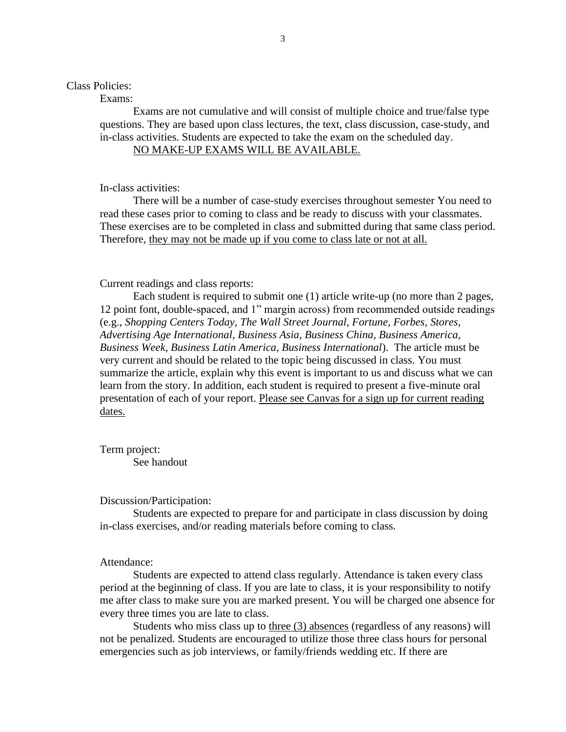## Class Policies:

Exams:

Exams are not cumulative and will consist of multiple choice and true/false type questions. They are based upon class lectures, the text, class discussion, case-study, and in-class activities. Students are expected to take the exam on the scheduled day.

## NO MAKE-UP EXAMS WILL BE AVAILABLE.

In-class activities:

There will be a number of case-study exercises throughout semester You need to read these cases prior to coming to class and be ready to discuss with your classmates. These exercises are to be completed in class and submitted during that same class period. Therefore, they may not be made up if you come to class late or not at all.

### Current readings and class reports:

Each student is required to submit one (1) article write-up (no more than 2 pages, 12 point font, double-spaced, and 1" margin across) from recommended outside readings (e.g., *Shopping Centers Today, The Wall Street Journal, Fortune, Forbes, Stores, Advertising Age International, Business Asia, Business China, Business America, Business Week, Business Latin America, Business International*). The article must be very current and should be related to the topic being discussed in class. You must summarize the article, explain why this event is important to us and discuss what we can learn from the story. In addition, each student is required to present a five-minute oral presentation of each of your report. Please see Canvas for a sign up for current reading dates.

Term project: See handout

### Discussion/Participation:

Students are expected to prepare for and participate in class discussion by doing in-class exercises, and/or reading materials before coming to class.

## Attendance:

Students are expected to attend class regularly. Attendance is taken every class period at the beginning of class. If you are late to class, it is your responsibility to notify me after class to make sure you are marked present. You will be charged one absence for every three times you are late to class.

Students who miss class up to three (3) absences (regardless of any reasons) will not be penalized. Students are encouraged to utilize those three class hours for personal emergencies such as job interviews, or family/friends wedding etc. If there are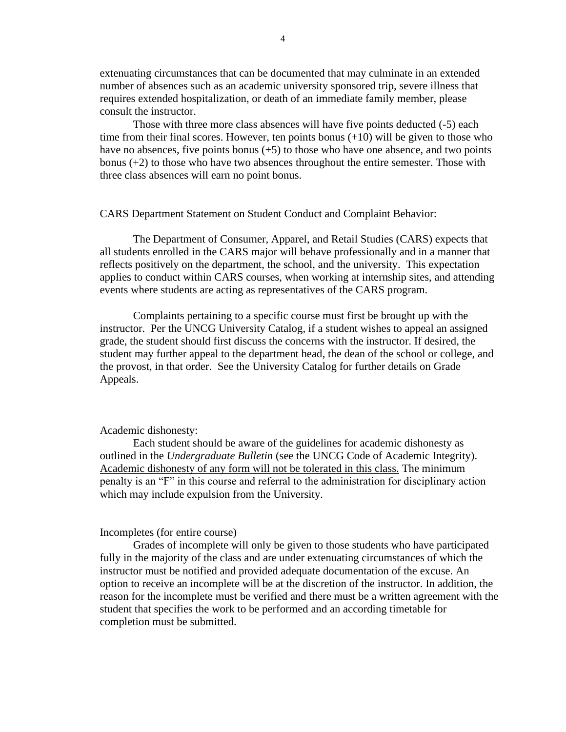extenuating circumstances that can be documented that may culminate in an extended number of absences such as an academic university sponsored trip, severe illness that requires extended hospitalization, or death of an immediate family member, please consult the instructor.

Those with three more class absences will have five points deducted (-5) each time from their final scores. However, ten points bonus  $(+10)$  will be given to those who have no absences, five points bonus  $(+5)$  to those who have one absence, and two points bonus (+2) to those who have two absences throughout the entire semester. Those with three class absences will earn no point bonus.

### CARS Department Statement on Student Conduct and Complaint Behavior:

The Department of Consumer, Apparel, and Retail Studies (CARS) expects that all students enrolled in the CARS major will behave professionally and in a manner that reflects positively on the department, the school, and the university. This expectation applies to conduct within CARS courses, when working at internship sites, and attending events where students are acting as representatives of the CARS program.

Complaints pertaining to a specific course must first be brought up with the instructor. Per the UNCG University Catalog, if a student wishes to appeal an assigned grade, the student should first discuss the concerns with the instructor. If desired, the student may further appeal to the department head, the dean of the school or college, and the provost, in that order. See the University Catalog for further details on Grade Appeals.

#### Academic dishonesty:

Each student should be aware of the guidelines for academic dishonesty as outlined in the *Undergraduate Bulletin* (see the UNCG Code of Academic Integrity). Academic dishonesty of any form will not be tolerated in this class. The minimum penalty is an "F" in this course and referral to the administration for disciplinary action which may include expulsion from the University.

#### Incompletes (for entire course)

Grades of incomplete will only be given to those students who have participated fully in the majority of the class and are under extenuating circumstances of which the instructor must be notified and provided adequate documentation of the excuse. An option to receive an incomplete will be at the discretion of the instructor. In addition, the reason for the incomplete must be verified and there must be a written agreement with the student that specifies the work to be performed and an according timetable for completion must be submitted.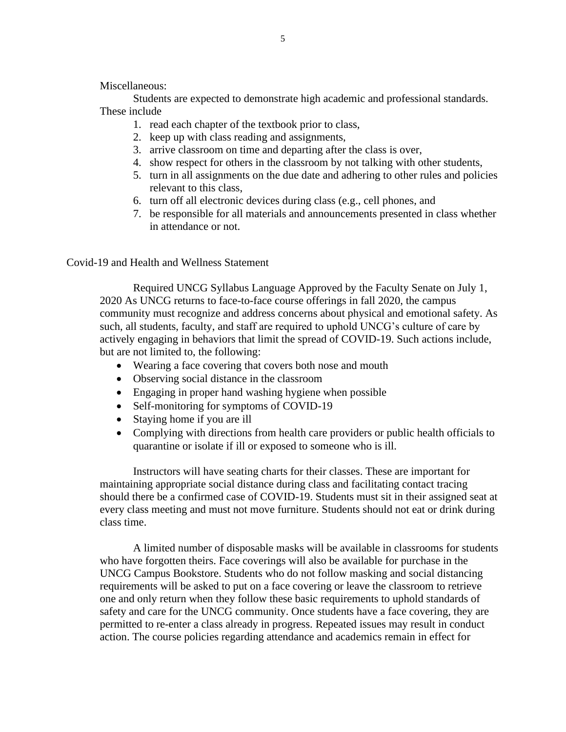Miscellaneous:

Students are expected to demonstrate high academic and professional standards. These include

- 1. read each chapter of the textbook prior to class,
- 2. keep up with class reading and assignments,
- 3. arrive classroom on time and departing after the class is over,
- 4. show respect for others in the classroom by not talking with other students,
- 5. turn in all assignments on the due date and adhering to other rules and policies relevant to this class,
- 6. turn off all electronic devices during class (e.g., cell phones, and
- 7. be responsible for all materials and announcements presented in class whether in attendance or not.

Covid-19 and Health and Wellness Statement

Required UNCG Syllabus Language Approved by the Faculty Senate on July 1, 2020 As UNCG returns to face-to-face course offerings in fall 2020, the campus community must recognize and address concerns about physical and emotional safety. As such, all students, faculty, and staff are required to uphold UNCG's culture of care by actively engaging in behaviors that limit the spread of COVID-19. Such actions include, but are not limited to, the following:

- Wearing a face covering that covers both nose and mouth
- Observing social distance in the classroom
- Engaging in proper hand washing hygiene when possible
- Self-monitoring for symptoms of COVID-19
- Staying home if you are ill
- Complying with directions from health care providers or public health officials to quarantine or isolate if ill or exposed to someone who is ill.

Instructors will have seating charts for their classes. These are important for maintaining appropriate social distance during class and facilitating contact tracing should there be a confirmed case of COVID-19. Students must sit in their assigned seat at every class meeting and must not move furniture. Students should not eat or drink during class time.

A limited number of disposable masks will be available in classrooms for students who have forgotten theirs. Face coverings will also be available for purchase in the UNCG Campus Bookstore. Students who do not follow masking and social distancing requirements will be asked to put on a face covering or leave the classroom to retrieve one and only return when they follow these basic requirements to uphold standards of safety and care for the UNCG community. Once students have a face covering, they are permitted to re-enter a class already in progress. Repeated issues may result in conduct action. The course policies regarding attendance and academics remain in effect for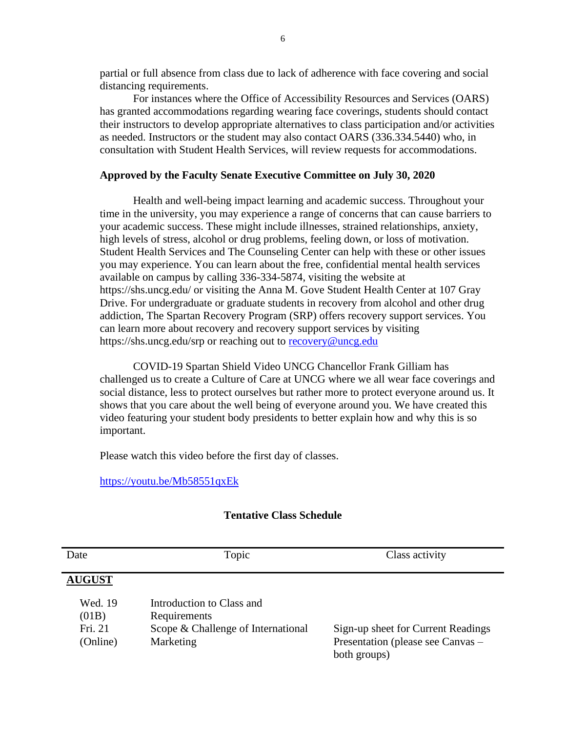partial or full absence from class due to lack of adherence with face covering and social distancing requirements.

For instances where the Office of Accessibility Resources and Services (OARS) has granted accommodations regarding wearing face coverings, students should contact their instructors to develop appropriate alternatives to class participation and/or activities as needed. Instructors or the student may also contact OARS (336.334.5440) who, in consultation with Student Health Services, will review requests for accommodations.

### **Approved by the Faculty Senate Executive Committee on July 30, 2020**

Health and well-being impact learning and academic success. Throughout your time in the university, you may experience a range of concerns that can cause barriers to your academic success. These might include illnesses, strained relationships, anxiety, high levels of stress, alcohol or drug problems, feeling down, or loss of motivation. Student Health Services and The Counseling Center can help with these or other issues you may experience. You can learn about the free, confidential mental health services available on campus by calling 336-334-5874, visiting the website at https://shs.uncg.edu/ or visiting the Anna M. Gove Student Health Center at 107 Gray Drive. For undergraduate or graduate students in recovery from alcohol and other drug addiction, The Spartan Recovery Program (SRP) offers recovery support services. You can learn more about recovery and recovery support services by visiting https://shs.uncg.edu/srp or reaching out to [recovery@uncg.edu](mailto:recovery@uncg.edu)

COVID-19 Spartan Shield Video UNCG Chancellor Frank Gilliam has challenged us to create a Culture of Care at UNCG where we all wear face coverings and social distance, less to protect ourselves but rather more to protect everyone around us. It shows that you care about the well being of everyone around you. We have created this video featuring your student body presidents to better explain how and why this is so important.

Please watch this video before the first day of classes.

<https://youtu.be/Mb58551qxEk>

### **Tentative Class Schedule**

| Date                                    | Topic                                                                                        | Class activity                                                                          |
|-----------------------------------------|----------------------------------------------------------------------------------------------|-----------------------------------------------------------------------------------------|
| <b>AUGUST</b>                           |                                                                                              |                                                                                         |
| Wed. 19<br>(01B)<br>Fri. 21<br>(Online) | Introduction to Class and<br>Requirements<br>Scope & Challenge of International<br>Marketing | Sign-up sheet for Current Readings<br>Presentation (please see Canvas –<br>both groups) |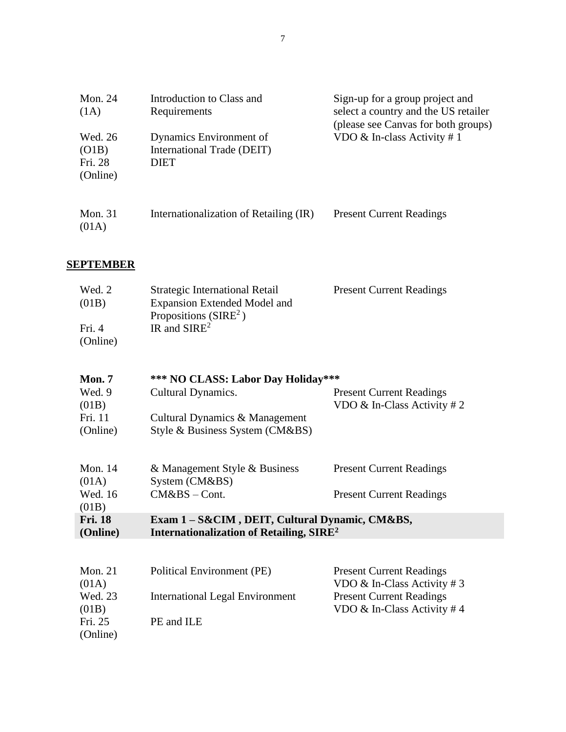| Mon. 24<br>(1A)                         | Introduction to Class and<br>Requirements                            | Sign-up for a group project and<br>select a country and the US retailer<br>(please see Canvas for both groups) |
|-----------------------------------------|----------------------------------------------------------------------|----------------------------------------------------------------------------------------------------------------|
| Wed. 26<br>(O1B)<br>Fri. 28<br>(Online) | Dynamics Environment of<br>International Trade (DEIT)<br><b>DIET</b> | VDO $&$ In-class Activity # 1                                                                                  |
| Mon. $31$<br>(01A)                      | Internationalization of Retailing (IR)                               | <b>Present Current Readings</b>                                                                                |

# **SEPTEMBER**

| Wed. 2   | Strategic International Retail      | <b>Present Current Readings</b> |
|----------|-------------------------------------|---------------------------------|
| (01B)    | <b>Expansion Extended Model and</b> |                                 |
|          | Propositions ( $SIRE2$ )            |                                 |
| Fri. $4$ | IR and $SIRE^2$                     |                                 |
| (Online) |                                     |                                 |

| Mon. 7                        | *** NO CLASS: Labor Day Holiday***                               |                                                                    |
|-------------------------------|------------------------------------------------------------------|--------------------------------------------------------------------|
| Wed. 9                        | Cultural Dynamics.                                               | <b>Present Current Readings</b>                                    |
| (01B)                         |                                                                  | VDO $&$ In-Class Activity # 2                                      |
| Fri. 11                       | Cultural Dynamics & Management                                   |                                                                    |
| (Online)                      | Style & Business System (CM&BS)                                  |                                                                    |
| Mon. $14$<br>(01A)<br>Wed. 16 | & Management Style & Business<br>System (CM&BS)<br>$CM&BS-Cont.$ | <b>Present Current Readings</b><br><b>Present Current Readings</b> |
| (01B)<br><b>Fri. 18</b>       |                                                                  |                                                                    |
|                               | Exam 1 – S&CIM, DEIT, Cultural Dynamic, CM&BS,                   |                                                                    |
| (Online)                      | Internationalization of Retailing, SIRE <sup>2</sup>             |                                                                    |
|                               |                                                                  |                                                                    |
|                               |                                                                  |                                                                    |

| Mon. $21$           | Political Environment (PE)      | <b>Present Current Readings</b> |
|---------------------|---------------------------------|---------------------------------|
| (01A)               |                                 | VDO & In-Class Activity #3      |
| Wed. 23             | International Legal Environment | <b>Present Current Readings</b> |
| (01B)               |                                 | VDO $\&$ In-Class Activity #4   |
| Fri. 25<br>(Online) | PE and ILE                      |                                 |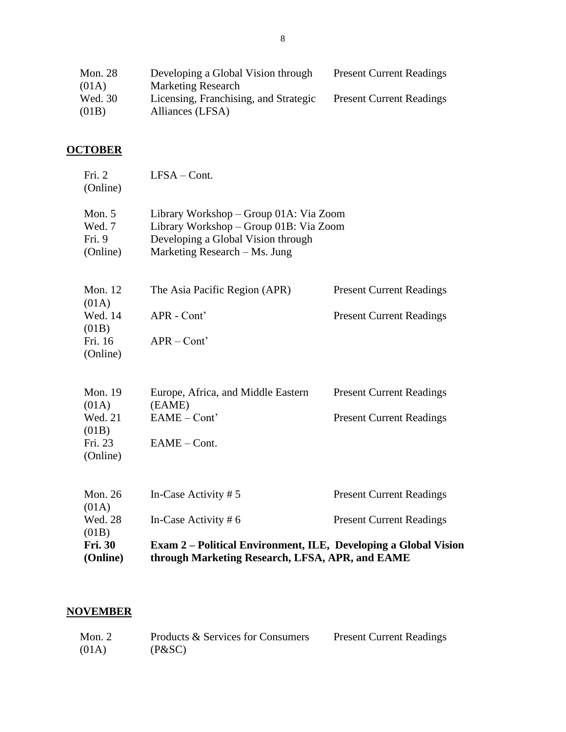| <b>Mon. 28</b> | Developing a Global Vision through    | <b>Present Current Readings</b> |
|----------------|---------------------------------------|---------------------------------|
| (01A)          | <b>Marketing Research</b>             |                                 |
| Wed. 30        | Licensing, Franchising, and Strategic | <b>Present Current Readings</b> |
| (01B)          | Alliances (LFSA)                      |                                 |

# **OCTOBER**

| <b>Fri. 30</b><br>(Online)               | Exam 2 – Political Environment, ILE, Developing a Global Vision<br>through Marketing Research, LFSA, APR, and EAME                                      |                                                                    |
|------------------------------------------|---------------------------------------------------------------------------------------------------------------------------------------------------------|--------------------------------------------------------------------|
| Wed. 28<br>(01B)                         | In-Case Activity $# 6$                                                                                                                                  | <b>Present Current Readings</b>                                    |
| Mon. 26<br>(01A)                         | In-Case Activity $# 5$                                                                                                                                  | <b>Present Current Readings</b>                                    |
| (01B)<br>Fri. 23<br>(Online)             | EAME - Cont.                                                                                                                                            |                                                                    |
| <b>Mon. 19</b><br>(01A)<br>Wed. 21       | Europe, Africa, and Middle Eastern<br>(EAME)<br>EAME - Cont'                                                                                            | <b>Present Current Readings</b><br><b>Present Current Readings</b> |
| (01B)<br>Fri. 16<br>(Online)             | $APR - Cont'$                                                                                                                                           |                                                                    |
| (01A)<br>Wed. 14                         | APR - Cont'                                                                                                                                             | <b>Present Current Readings</b>                                    |
| <b>Mon. 12</b>                           | The Asia Pacific Region (APR)                                                                                                                           | <b>Present Current Readings</b>                                    |
| Mon. $5$<br>Wed. 7<br>Fri. 9<br>(Online) | Library Workshop – Group 01A: Via Zoom<br>Library Workshop - Group 01B: Via Zoom<br>Developing a Global Vision through<br>Marketing Research – Ms. Jung |                                                                    |
| Fri. 2<br>(Online)                       | $LFSA - Cont.$                                                                                                                                          |                                                                    |

# **NOVEMBER**

| Mon. $2$ | Products & Services for Consumers | <b>Present Current Readings</b> |
|----------|-----------------------------------|---------------------------------|
| (01A)    | (P&SC)                            |                                 |